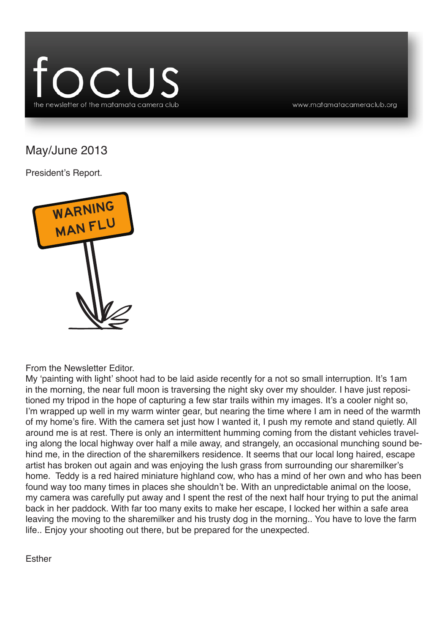

www.matamatacameraclub.org

May/June 2013

President's Report.



From the Newsletter Editor.

My 'painting with light' shoot had to be laid aside recently for a not so small interruption. It's 1am in the morning, the near full moon is traversing the night sky over my shoulder. I have just repositioned my tripod in the hope of capturing a few star trails within my images. It's a cooler night so, I'm wrapped up well in my warm winter gear, but nearing the time where I am in need of the warmth of my home's fire. With the camera set just how I wanted it, I push my remote and stand quietly. All around me is at rest. There is only an intermittent humming coming from the distant vehicles traveling along the local highway over half a mile away, and strangely, an occasional munching sound behind me, in the direction of the sharemilkers residence. It seems that our local long haired, escape artist has broken out again and was enjoying the lush grass from surrounding our sharemilker's home. Teddy is a red haired miniature highland cow, who has a mind of her own and who has been found way too many times in places she shouldn't be. With an unpredictable animal on the loose, my camera was carefully put away and I spent the rest of the next half hour trying to put the animal back in her paddock. With far too many exits to make her escape, I locked her within a safe area leaving the moving to the sharemilker and his trusty dog in the morning.. You have to love the farm life.. Enjoy your shooting out there, but be prepared for the unexpected.

Esther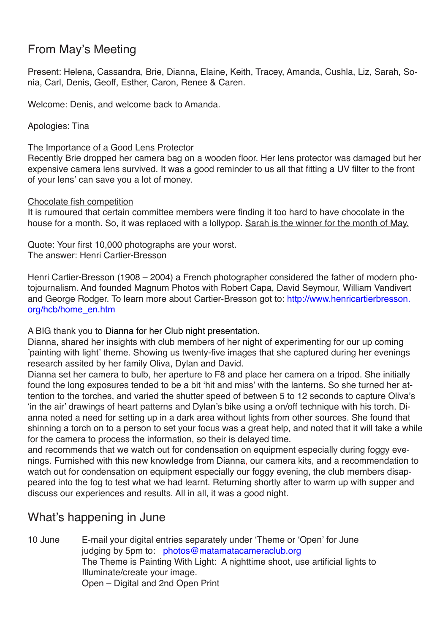# From May's Meeting

Present: Helena, Cassandra, Brie, Dianna, Elaine, Keith, Tracey, Amanda, Cushla, Liz, Sarah, Sonia, Carl, Denis, Geoff, Esther, Caron, Renee & Caren.

Welcome: Denis, and welcome back to Amanda.

Apologies: Tina

The Importance of a Good Lens Protector

Recently Brie dropped her camera bag on a wooden floor. Her lens protector was damaged but her expensive camera lens survived. It was a good reminder to us all that fitting a UV filter to the front of your lens' can save you a lot of money.

#### Chocolate fish competition

It is rumoured that certain committee members were finding it too hard to have chocolate in the house for a month. So, it was replaced with a lollypop. Sarah is the winner for the month of May.

Quote: Your first 10,000 photographs are your worst. The answer: Henri Cartier-Bresson

Henri Cartier-Bresson (1908 – 2004) a French photographer considered the father of modern photojournalism. And founded Magnum Photos with Robert Capa, David Seymour, William Vandivert and George Rodger. To learn more about Cartier-Bresson got to: http://www.henricartierbresson. org/hcb/home\_en.htm

### A BIG thank you to Dianna for her Club night presentation.

Dianna, shared her insights with club members of her night of experimenting for our up coming 'painting with light' theme. Showing us twenty-five images that she captured during her evenings research assited by her family Oliva, Dylan and David.

Dianna set her camera to bulb, her aperture to F8 and place her camera on a tripod. She initially found the long exposures tended to be a bit 'hit and miss' with the lanterns. So she turned her attention to the torches, and varied the shutter speed of between 5 to 12 seconds to capture Oliva's 'in the air' drawings of heart patterns and Dylan's bike using a on/off technique with his torch. Dianna noted a need for setting up in a dark area without lights from other sources. She found that shinning a torch on to a person to set your focus was a great help, and noted that it will take a while for the camera to process the information, so their is delayed time.

and recommends that we watch out for condensation on equipment especially during foggy evenings. Furnished with this new knowledge from Dianna, our camera kits, and a recommendation to watch out for condensation on equipment especially our foggy evening, the club members disappeared into the fog to test what we had learnt. Returning shortly after to warm up with supper and discuss our experiences and results. All in all, it was a good night.

## What's happening in June

10 June E-mail your digital entries separately under 'Theme or 'Open' for June judging by 5pm to: photos@matamatacameraclub.org The Theme is Painting With Light: A nighttime shoot, use artificial lights to Illuminate/create your image. Open – Digital and 2nd Open Print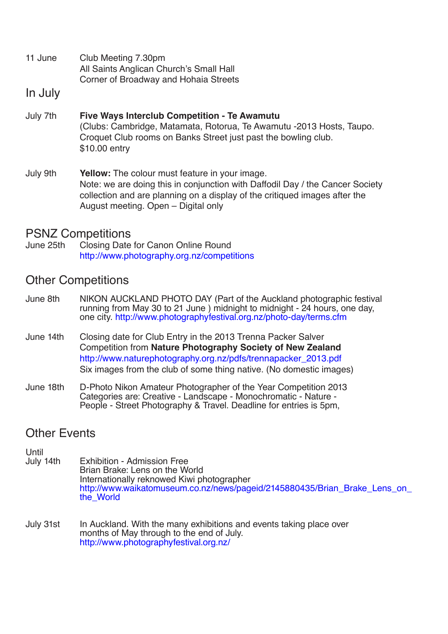- 11 June Club Meeting 7.30pm All Saints Anglican Church's Small Hall Corner of Broadway and Hohaia Streets
- In July
- July 7th **Five Ways Interclub Competition Te Awamutu** (Clubs: Cambridge, Matamata, Rotorua, Te Awamutu -2013 Hosts, Taupo. Croquet Club rooms on Banks Street just past the bowling club. \$10.00 entry
- July 9th **Yellow:** The colour must feature in your image. Note: we are doing this in conjunction with Daffodil Day / the Cancer Society collection and are planning on a display of the critiqued images after the August meeting. Open – Digital only

# **PSNZ Competitions**<br>June 25th Closing Date

Closing Date for Canon Online Round http://www.photography.org.nz/competitions

### Other Competitions

- June 8th NIKON AUCKLAND PHOTO DAY (Part of the Auckland photographic festival running from May 30 to 21 June ) midnight to midnight 24 hours, one day, one city. http://www.photographyfestival.org.nz/photo-day/terms.cfm
- June 14th Closing date for Club Entry in the 2013 Trenna Packer Salver Competition from **Nature Photography Society of New Zealand** http://www.naturephotography.org.nz/pdfs/trennapacker\_2013.pdf Six images from the club of some thing native. (No domestic images)
- June 18th D-Photo Nikon Amateur Photographer of the Year Competition 2013 Categories are: Creative - Landscape - Monochromatic - Nature - People - Street Photography & Travel. Deadline for entries is 5pm,

### Other Events

- Until<br>July 14th Exhibition - Admission Free<br>Brian Brake: Lens on the World Internationally reknowed Kiwi photographer http://www.waikatomuseum.co.nz/news/pageid/2145880435/Brian\_Brake\_Lens\_on\_ the\_World
- July 31st In Auckland. With the many exhibitions and events taking place over months of May through to the end of July. http://www.photographyfestival.org.nz/